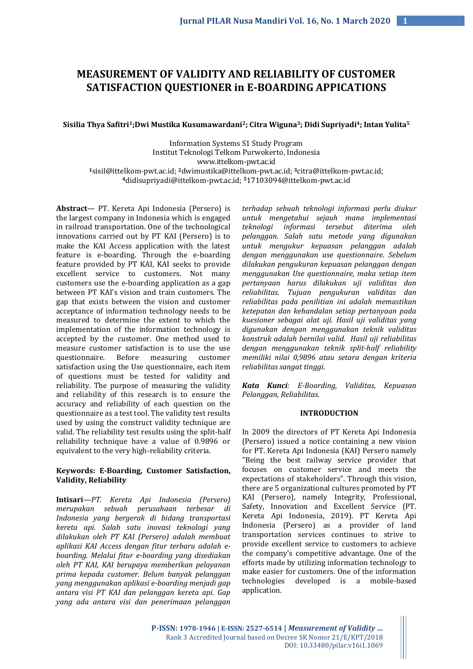# **MEASUREMENT OF VALIDITY AND RELIABILITY OF CUSTOMER SATISFACTION QUESTIONER in E-BOARDING APPICATIONS**

### **Sisilia Thya Safitri1;Dwi Mustika Kusumawardani2; Citra Wiguna3; Didi Supriyadi4; Intan Yulita<sup>5</sup>**

Information Systems S1 Study Program Institut Teknologi Telkom Purwokerto, Indonesia www.ittelkom-pwt.ac.id **<sup>1</sup>**[sisil@ittelkom-pwt.ac.id;](mailto:sisil@ittelkom-pwt.ac.id) **2**[dwimustika@ittelkom-pwt.ac.id;](mailto:dwimustika@ittelkom-pwt.ac.id) **3**[citra@ittelkom-pwt.ac.id;](mailto:citra@ittelkom-pwt.ac.id)  **<sup>4</sup>**[didisupriyadi@ittelkom-pwt.ac.id;](mailto:didisupriyadi@ittelkom-pwt.ac.id) **5**[17103094@ittelkom-pwt.ac.id](mailto:17103094@ittelkom-pwt.ac.id)

**Abstract**— PT. Kereta Api Indonesia (Persero) is the largest company in Indonesia which is engaged in railroad transportation. One of the technological innovations carried out by PT KAI (Persero) is to make the KAI Access application with the latest feature is e-boarding. Through the e-boarding feature provided by PT KAI, KAI seeks to provide excellent service to customers. Not many customers use the e-boarding application as a gap between PT KAI's vision and train customers. The gap that exists between the vision and customer acceptance of information technology needs to be measured to determine the extent to which the implementation of the information technology is accepted by the customer. One method used to measure customer satisfaction is to use the use questionnaire. Before measuring customer satisfaction using the Use questionnaire, each item of questions must be tested for validity and reliability. The purpose of measuring the validity and reliability of this research is to ensure the accuracy and reliability of each question on the questionnaire as a test tool. The validity test results used by using the construct validity technique are valid. The reliability test results using the split-half reliability technique have a value of 0.9896 or equivalent to the very high-reliability criteria.

## **Keywords: E-Boarding, Customer Satisfaction, Validity, Reliability**

**Intisari***—PT. Kereta Api Indonesia (Persero) merupakan sebuah perusahaan terbesar di Indonesia yang bergerak di bidang transportasi kereta api. Salah satu inovasi teknologi yang dilakukan oleh PT KAI (Persero) adalah membuat aplikasi KAI Access dengan fitur terbaru adalah eboarding. Melalui fitur e-boarding yang disediakan oleh PT KAI, KAI berupaya memberikan pelayanan prima kepada customer. Belum banyak pelanggan yang menggunakan aplikasi e-boarding menjadi gap antara visi PT KAI dan pelanggan kereta api. Gap yang ada antara visi dan penerimaan pelanggan* 

*terhadap sebuah teknologi informasi perlu diukur untuk mengetahui sejauh mana implementasi teknologi informasi tersebut diterima oleh pelanggan. Salah satu metode yang digunakan untuk mengukur kepuasan pelanggan adalah dengan menggunakan use questionnaire. Sebelum dilakukan pengukuran kepuasan pelanggan dengan menggunakan Use questionnaire, maka setiap item pertanyaan harus dilakukan uji validitas dan reliabilitas. Tujuan pengukuran validitas dan reliabilitas pada penilitian ini adalah memastikan ketepatan dan kehandalan setiap pertanyaan pada kuesioner sebagai alat uji. Hasil uji validitas yang digunakan dengan menggunakan teknik validitas konstruk adalah bernilai valid. Hasil uji reliabilitas dengan menggunakan teknik split-half reliability memiliki nilai 0,9896 atau setara dengan kriteria reliabilitas sangat tinggi.*

*Kata Kunci: E-Boarding, Validitas, Kepuasan Pelanggan, Reliabilitas.*

## **INTRODUCTION**

In 2009 the directors of PT Kereta Api Indonesia (Persero) issued a notice containing a new vision for PT. Kereta Api Indonesia (KAI) Persero namely "Being the best railway service provider that focuses on customer service and meets the expectations of stakeholders". Through this vision, there are 5 organizational cultures promoted by PT KAI (Persero), namely Integrity, Professional, Safety, Innovation and Excellent Service (PT. Kereta Api Indonesia, 2019). PT Kereta Api Indonesia (Persero) as a provider of land transportation services continues to strive to provide excellent service to customers to achieve the company's competitive advantage. One of the efforts made by utilizing information technology to make easier for customers. One of the information technologies developed is a mobile-based application.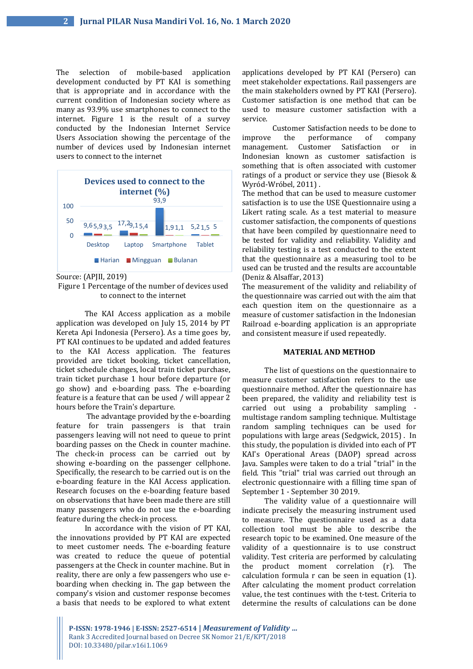The selection of mobile-based application development conducted by PT KAI is something that is appropriate and in accordance with the current condition of Indonesian society where as many as 93.9% use smartphones to connect to the internet. Figure 1 is the result of a survey conducted by the Indonesian Internet Service Users Association showing the percentage of the number of devices used by Indonesian internet users to connect to the internet



Source: (APJII, 2019)

Figure 1 Percentage of the number of devices used to connect to the internet

The KAI Access application as a mobile application was developed on July 15, 2014 by PT Kereta Api Indonesia (Persero). As a time goes by, PT KAI continues to be updated and added features to the KAI Access application. The features provided are ticket booking, ticket cancellation, ticket schedule changes, local train ticket purchase, train ticket purchase 1 hour before departure (or go show) and e-boarding pass. The e-boarding feature is a feature that can be used / will appear 2 hours before the Train's departure.

The advantage provided by the e-boarding feature for train passengers is that train passengers leaving will not need to queue to print boarding passes on the Check in counter machine. The check-in process can be carried out by showing e-boarding on the passenger cellphone. Specifically, the research to be carried out is on the e-boarding feature in the KAI Access application. Research focuses on the e-boarding feature based on observations that have been made there are still many passengers who do not use the e-boarding feature during the check-in process.

In accordance with the vision of PT KAI, the innovations provided by PT KAI are expected to meet customer needs. The e-boarding feature was created to reduce the queue of potential passengers at the Check in counter machine. But in reality, there are only a few passengers who use eboarding when checking in. The gap between the company's vision and customer response becomes a basis that needs to be explored to what extent

applications developed by PT KAI (Persero) can meet stakeholder expectations. Rail passengers are the main stakeholders owned by PT KAI (Persero). Customer satisfaction is one method that can be used to measure customer satisfaction with a service.

Customer Satisfaction needs to be done to improve the performance of company management. Customer Satisfaction or in Indonesian known as customer satisfaction is something that is often associated with customer ratings of a product or service they use (Biesok & Wyród-Wróbel, 2011) .

The method that can be used to measure customer satisfaction is to use the USE Questionnaire using a Likert rating scale. As a test material to measure customer satisfaction, the components of questions that have been compiled by questionnaire need to be tested for validity and reliability. Validity and reliability testing is a test conducted to the extent that the questionnaire as a measuring tool to be used can be trusted and the results are accountable (Deniz & Alsaffar, 2013)

The measurement of the validity and reliability of the questionnaire was carried out with the aim that each question item on the questionnaire as a measure of customer satisfaction in the Indonesian Railroad e-boarding application is an appropriate and consistent measure if used repeatedly.

#### **MATERIAL AND METHOD**

The list of questions on the questionnaire to measure customer satisfaction refers to the use questionnaire method. After the questionnaire has been prepared, the validity and reliability test is carried out using a probability sampling multistage random sampling technique. Multistage random sampling techniques can be used for populations with large areas (Sedgwick, 2015) . In this study, the population is divided into each of PT KAI's Operational Areas (DAOP) spread across Java. Samples were taken to do a trial "trial" in the field. This "trial" trial was carried out through an electronic questionnaire with a filling time span of September 1 - September 30 2019.

The validity value of a questionnaire will indicate precisely the measuring instrument used to measure. The questionnaire used as a data collection tool must be able to describe the research topic to be examined. One measure of the validity of a questionnaire is to use construct validity. Test criteria are performed by calculating the product moment correlation (r). The calculation formula r can be seen in equation (1). After calculating the moment product correlation value, the test continues with the t-test. Criteria to determine the results of calculations can be done

**P-ISSN: 1978-1946 | E-ISSN: 2527-6514 |** *Measurement of Validity …* Rank 3 Accredited Journal based on Decree SK Nomor 21/E/KPT/2018 DOI: 10.33480/pilar.v16i1.1069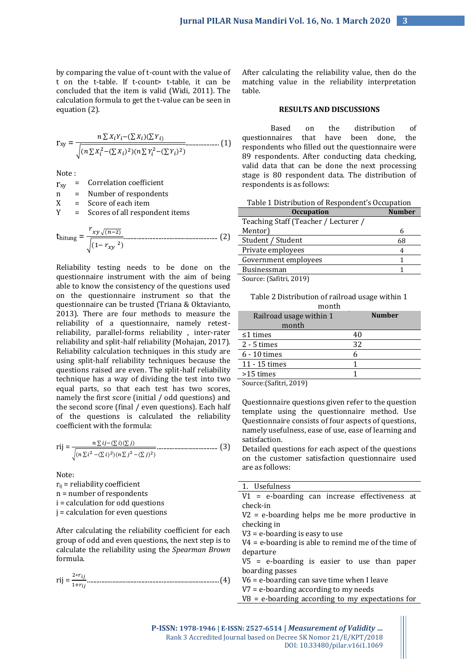by comparing the value of t-count with the value of t on the t-table. If t-count> t-table, it can be concluded that the item is valid (Widi, 2011). The calculation formula to get the t-value can be seen in equation (2).

$$
r_{xy} = \frac{n \sum x_i Y_i - (\sum x_i)(\sum Y_i)}{\sqrt{(n \sum x_i^2 - (\sum x_i)^2)(n \sum Y_i^2 - (\sum Y_i)^2)}}
$$
................. (1)

Note :

| $r_{xy}$               |     | = Correlation coefficient      |  |
|------------------------|-----|--------------------------------|--|
| n                      |     | Number of respondents          |  |
| X                      | $=$ | Score of each item             |  |
| Y                      |     | Scores of all respondent items |  |
| <b><i>U</i></b> hitung |     | $r_{xy\sqrt{(n-2)}}$           |  |

 $\sqrt{(1-r_{xy})^2}$ 

Reliability testing needs to be done on the questionnaire instrument with the aim of being able to know the consistency of the questions used on the questionnaire instrument so that the questionnaire can be trusted (Triana & Oktavianto, 2013). There are four methods to measure the reliability of a questionnaire, namely retestreliability, parallel-forms reliability , inter-rater reliability and split-half reliability (Mohajan, 2017). Reliability calculation techniques in this study are using split-half reliability techniques because the questions raised are even. The split-half reliability technique has a way of dividing the test into two equal parts, so that each test has two scores, namely the first score (initial / odd questions) and the second score (final / even questions). Each half of the questions is calculated the reliability coefficient with the formula:

$$
\text{rij} = \frac{n \sum ij - (\sum i)(\sum j)}{\sqrt{(n \sum i^2 - (\sum i)^2)(n \sum j^2 - (\sum j)^2)}}
$$
................. (3)

Note:  $r_{ii}$  = reliability coefficient n = number of respondents i = calculation for odd questions j = calculation for even questions

After calculating the reliability coefficient for each group of odd and even questions, the next step is to calculate the reliability using the *Spearman Brown* formula.

rij = 2∗ 1+ ...................................................................................(4)

After calculating the reliability value, then do the matching value in the reliability interpretation table.

## **RESULTS AND DISCUSSIONS**

Based on the distribution of questionnaires that have been done, the respondents who filled out the questionnaire were 89 respondents. After conducting data checking, valid data that can be done the next processing stage is 80 respondent data. The distribution of respondents is as follows:

| Table 1 Distribution of Respondent's Occupation |  |  |  |  |
|-------------------------------------------------|--|--|--|--|
|-------------------------------------------------|--|--|--|--|

| <b>Occupation</b>                    | <b>Number</b> |
|--------------------------------------|---------------|
| Teaching Staff (Teacher / Lecturer / |               |
| Mentor)                              |               |
| Student / Student                    | 68            |
| Private employees                    | 4             |
| Government employees                 |               |
| Businessman                          |               |
| Source (Safitri 2019)                |               |

Source: (Safitri, 2019)

Table 2 Distribution of railroad usage within 1 month

| 111011111               |               |
|-------------------------|---------------|
| Railroad usage within 1 | <b>Number</b> |
| month                   |               |
| $\leq$ 1 times          | 40            |
| $2 - 5$ times           | 32            |
| 6 - 10 times            | 6             |
| 11 - 15 times           |               |
| $>15$ times             |               |
| _________               |               |

Source:(Safitri, 2019)

Questionnaire questions given refer to the question template using the questionnaire method. Use Questionnaire consists of four aspects of questions, namely usefulness, ease of use, ease of learning and satisfaction.

Detailed questions for each aspect of the questions on the customer satisfaction questionnaire used are as follows:

| 1. Usefulness                                              |  |  |
|------------------------------------------------------------|--|--|
| V1 = e-boarding can increase effectiveness at              |  |  |
| check-in                                                   |  |  |
| V <sub>2</sub> = e-hoarding helps me he more productive in |  |  |

e-boarding helps me be more productive in checking in

V3 = e-boarding is easy to use

V4 = e-boarding is able to remind me of the time of departure

V5 = e-boarding is easier to use than paper boarding passes

V6 = e-boarding can save time when I leave

V7 = e-boarding according to my needs

V8 = e-boarding according to my expectations for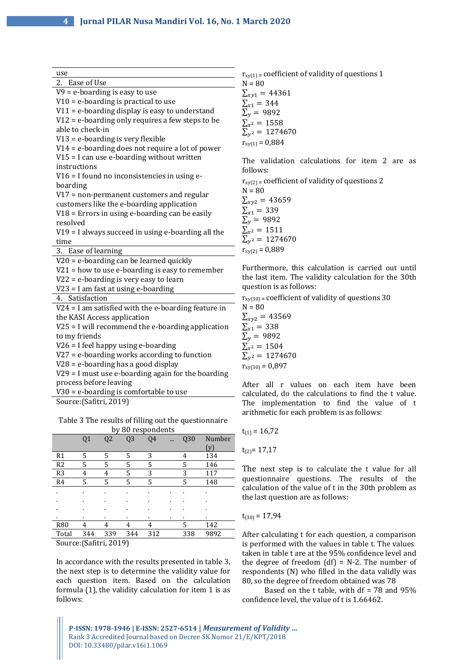| use                                                   | $r_{xy(1)}$ = coefficient of validity of questions 1   |
|-------------------------------------------------------|--------------------------------------------------------|
| 2. Ease of Use                                        | $N = 80$                                               |
| $V9 = e$ -boarding is easy to use                     | $\Sigma_{xy1} = 44361$                                 |
| $V10 = e$ -boarding is practical to use               | $\Sigma_{x1} = 344$                                    |
| $V11 = e$ -boarding display is easy to understand     | $\Sigma_{v}$ = 9892                                    |
| $V12$ = e-boarding only requires a few steps to be    | $\Sigma_{x^2} = 1558$                                  |
| able to check-in                                      | $\Sigma_{v^2} = 1274670$                               |
| $V13 = e$ -boarding is very flexible                  | $r_{xy(1)} = 0.884$                                    |
| $V14$ = e-boarding does not require a lot of power    |                                                        |
| $V15 = I$ can use e-boarding without written          | The validation calculations for item 2 are as          |
| instructions                                          | follows:                                               |
| V16 = I found no inconsistencies in using e-          | $r_{xy(2)}$ = coefficient of validity of questions 2   |
| boarding                                              | $N = 80$                                               |
| $V17$ = non-permanent customers and regular           | $\Sigma_{xyz} = 43659$                                 |
| customers like the e-boarding application             |                                                        |
| $V18$ = Errors in using e-boarding can be easily      | $\Sigma_{x1} = 339$<br>$\Sigma_{\nu} = 9892$           |
| resolved                                              |                                                        |
| $V19$ = I always succeed in using e-boarding all the  | $\Sigma_{x^2} = 1511$<br>$\Sigma_{v^2} = 1274670$      |
| time                                                  |                                                        |
| 3. Ease of learning                                   | $r_{xy(2)} = 0,889$                                    |
| $V20 = e$ -boarding can be learned quickly            |                                                        |
| $V21$ = how to use e-boarding is easy to remember     | Furthermore, this calculation is carried out until     |
| $V22$ = e-boarding is very easy to learn              | the last item. The validity calculation for the 30th   |
| $V23 = I$ am fast at using e-boarding                 | question is as follows:                                |
| 4. Satisfaction                                       | $r_{xy(30)}$ = coefficient of validity of questions 30 |
| $V24 = I$ am satisfied with the e-boarding feature in | $N = 80$                                               |
| the KASI Access application                           | $\Sigma_{xyz} = 43569$                                 |
| $V25 = I$ will recommend the e-boarding application   | $\Sigma_{x1} = 338$                                    |
| to my friends                                         | $\Sigma_{\nu} = 9892$                                  |
| $V26 = I$ feel happy using e-boarding                 | $\sum_{x^2}$ = 1504                                    |
| $V27 = e$ -boarding works according to function       | $\Sigma_{v^2} = 1274670$                               |
| $V28$ = e-boarding has a good display                 | $r_{xy(30)} = 0.897$                                   |
| $V29 = I$ must use e-boarding again for the boarding  |                                                        |
| process before leaving                                | After all r values on each item have been              |
| $V30 = e$ -boarding is comfortable to use             | calculated, do the calculations to find the t value.   |

Source:(Safitri, 2019)

Table 3 The results of filling out the questionnaire by 80 respondents

|                                                     | Q1  | Q <sub>2</sub> | Q <sub>3</sub> | Q4  |   | Q30 | Number |
|-----------------------------------------------------|-----|----------------|----------------|-----|---|-----|--------|
|                                                     |     |                |                |     |   |     | (v)    |
| R1                                                  | 5   | 5              | 5              | 3   |   | 4   | 134    |
| R <sub>2</sub>                                      | 5   | 5              | 5              | 5   |   | 5   | 146    |
| R <sub>3</sub>                                      | 4   | 4              | 5              | 3   |   | 3   | 117    |
| R4                                                  | 5   | 5              | 5              | 5   |   | 5   | 148    |
|                                                     | ٠   |                |                |     |   |     |        |
|                                                     |     | ٠              |                |     |   |     |        |
|                                                     | ٠   | ٠              | ٠              | ٠   | ٠ |     | ٠      |
|                                                     | ٠   | ٠              |                | ٠   | ٠ | ٠   | ٠      |
| <b>R80</b>                                          | 4   | 4              | 4              | 4   |   | 5   | 142    |
| Total                                               | 344 | 339            | 344            | 312 |   | 338 | 9892   |
| $C_{\text{a}11226}$ $(C_{\text{a}1111} \cdot 2010)$ |     |                |                |     |   |     |        |

Source:(Safitri, 2019)

In accordance with the results presented in table 3, the next step is to determine the validity value for each question item. Based on the calculation formula (1), the validity calculation for item 1 is as follows:

The implementation to find the value of t arithmetic for each problem is as follows:

$$
t_{(1)} = 16{,}72
$$

 $t_{(2)} = 17,17$ 

The next step is to calculate the t value for all questionnaire questions. The results of the calculation of the value of t in the 30th problem as the last question are as follows:

## $t_{(30)} = 17,94$

After calculating t for each question, a comparison is performed with the values in table t. The values taken in table t are at the 95% confidence level and the degree of freedom  $(df) = N-2$ . The number of respondents (N) who filled in the data validly was 80, so the degree of freedom obtained was 78

Based on the t table, with df = 78 and 95% confidence level, the value of t is 1.66462.

**P-ISSN: 1978-1946 | E-ISSN: 2527-6514 |** *Measurement of Validity …* Rank 3 Accredited Journal based on Decree SK Nomor 21/E/KPT/2018 DOI: 10.33480/pilar.v16i1.1069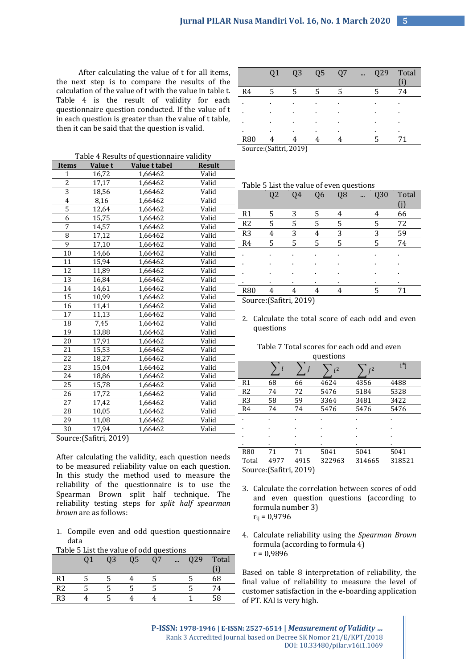After calculating the value of t for all items, the next step is to compare the results of the calculation of the value of t with the value in table t. Table 4 is the result of validity for each questionnaire question conducted. If the value of t in each question is greater than the value of t table, then it can be said that the question is valid.

Table 4 Results of questionnaire validity

| <b>Items</b>            | <b>Value t</b> | 0. 90.000.0<br>Value t tabel | <br><b>Result</b> |  |  |  |
|-------------------------|----------------|------------------------------|-------------------|--|--|--|
| $\mathbf{1}$            | 16,72          | 1,66462                      | Valid             |  |  |  |
| $\overline{2}$          | 17,17          | 1,66462                      | Valid             |  |  |  |
| $\overline{3}$          | 18,56          | 1,66462                      | Valid             |  |  |  |
| $\overline{4}$          | 8,16           | 1,66462                      | Valid             |  |  |  |
| 5                       | 12,64          | 1,66462                      | Valid             |  |  |  |
| $\overline{6}$          | 15,75          | 1,66462                      | Valid             |  |  |  |
| 7                       | 14,57          | 1,66462                      | Valid             |  |  |  |
| 8                       | 17,12          | 1,66462                      | Valid             |  |  |  |
| 9                       | 17,10          | 1,66462                      | Valid             |  |  |  |
| 10                      | 14,66          | 1,66462                      | Valid             |  |  |  |
| 11                      | 15,94          | 1,66462                      | Valid             |  |  |  |
| 12                      | 11,89          | 1,66462                      | Valid             |  |  |  |
| 13                      | 16,84          | 1,66462                      | Valid             |  |  |  |
| 14                      | 14,61          | 1,66462                      | Valid             |  |  |  |
| 15                      | 10,99          | 1,66462                      | Valid             |  |  |  |
| 16                      | 11,41          | 1,66462                      | Valid             |  |  |  |
| 17                      | 11,13          | 1,66462                      | Valid             |  |  |  |
| 18                      | 7,45           | 1,66462                      | Valid             |  |  |  |
| 19                      | 13,88          | 1,66462                      | Valid             |  |  |  |
| 20                      | 17,91          | 1,66462                      | Valid             |  |  |  |
| 21                      | 15,53          | 1,66462                      | Valid             |  |  |  |
| 22                      | 18,27          | 1,66462                      | Valid             |  |  |  |
| 23                      | 15,04          | 1,66462                      | Valid             |  |  |  |
| 24                      | 18,86          | 1,66462                      | Valid             |  |  |  |
| 25                      | 15,78          | 1,66462                      | Valid             |  |  |  |
| 26                      | 17,72          | 1,66462                      | Valid             |  |  |  |
| 27                      | 17,42          | 1,66462                      | Valid             |  |  |  |
| 28                      | 10,05          | 1,66462                      | Valid             |  |  |  |
| 29                      | 11,08          | 1,66462                      | Valid             |  |  |  |
| 30                      | 17,94          | 1,66462                      | Valid             |  |  |  |
| Source: (Safitri, 2019) |                |                              |                   |  |  |  |

Q1 Q3 Q5 Q7 ... Q29 Total (i) R4 5 5 5 5 5 74 . . . . . . . . . . . . . . . . . . . . . . . . . . . . R80 4 4 4 4 5 71

Source:(Safitri, 2019)

Table 5 List the value of even questions

|                      | Q <sub>2</sub> | 04 | Q <sub>6</sub> | Q <sub>8</sub> | $\cdots$ | Q30 | Total          |  |
|----------------------|----------------|----|----------------|----------------|----------|-----|----------------|--|
|                      |                |    |                |                |          |     |                |  |
| R <sub>1</sub>       | 5              | 3  | 5              | 4              |          |     | 66             |  |
| R <sub>2</sub>       | 5              | 5  | 5              | 5              |          | 5   | 72             |  |
| R <sub>3</sub>       | 4              | 3  | 4              | 3              |          | 3   | 59             |  |
| R <sub>4</sub>       | 5              | 5  | 5              | 5              |          | 5   | 74             |  |
|                      |                | ٠  |                | ٠              |          |     | ٠              |  |
|                      | ٠              | ٠  |                | ٠              |          |     | ٠              |  |
| ٠                    | ٠              | ٠  |                | ٠              |          |     | $\blacksquare$ |  |
| ٠                    | $\blacksquare$ | ٠  | ٠              | ٠              |          | ٠   | $\blacksquare$ |  |
| <b>R80</b>           | 4              |    | 4              | 4              |          | 5   | 71             |  |
| ConrowC <sub>0</sub> |                |    |                |                |          |     |                |  |

Source:(Safitri, 2019)

2. Calculate the total score of each odd and even questions

| Table 7 Total scores for each odd and even |  |
|--------------------------------------------|--|
| augstions                                  |  |

|                         |      |      | นนเวนบแว       |        |        |  |
|-------------------------|------|------|----------------|--------|--------|--|
|                         |      |      | i <sub>i</sub> |        | i*i    |  |
| R <sub>1</sub>          | 68   | 66   | 4624           | 4356   | 4488   |  |
| R <sub>2</sub>          | 74   | 72   | 5476           | 5184   | 5328   |  |
| R <sub>3</sub>          | 58   | 59   | 3364           | 3481   | 3422   |  |
| R4                      | 74   | 74   | 5476           | 5476   | 5476   |  |
|                         |      | ٠    |                |        | ï      |  |
|                         |      |      | ٠              | ٠      | ï      |  |
|                         |      | ٠    | ٠              | ٠      | ٠      |  |
|                         |      |      | ٠              | ٠      | ٠      |  |
| <b>R80</b>              | 71   | 71   | 5041           | 5041   | 5041   |  |
| Total                   | 4977 | 4915 | 322963         | 314665 | 318521 |  |
| Source: (Safitri, 2019) |      |      |                |        |        |  |

- 3. Calculate the correlation between scores of odd and even question questions (according to formula number 3)  $r_{ii} = 0.9796$
- 4. Calculate reliability using the *Spearman Brown* formula (according to formula 4)  $r = 0.9896$

Based on table 8 interpretation of reliability, the final value of reliability to measure the level of customer satisfaction in the e-boarding application of PT. KAI is very high.

|      |  |  | 1. Compile even and odd question questionnaire |
|------|--|--|------------------------------------------------|
| data |  |  |                                                |
|      |  |  |                                                |

After calculating the validity, each question needs to be measured reliability value on each question. In this study the method used to measure the reliability of the questionnaire is to use the Spearman Brown split half technique. The reliability testing steps for *split half spearman* 

|  |  | Table 5 List the value of odd questions |
|--|--|-----------------------------------------|
|  |  |                                         |

*brown* are as follows:

|                | 03 | Q5 | በ7 | $\cdots$ | Q29 | Total |
|----------------|----|----|----|----------|-----|-------|
|                |    |    |    |          |     |       |
| R <sub>1</sub> |    |    |    |          |     | 68    |
| R <sub>2</sub> |    |    |    |          |     | 74    |
| R <sub>3</sub> |    |    |    |          |     | 58    |
|                |    |    |    |          |     |       |